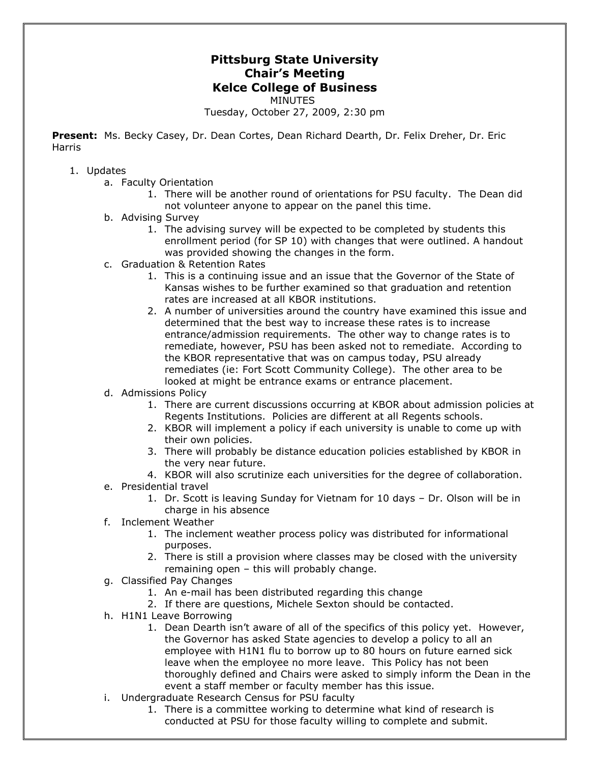## **Pittsburg State University Chair's Meeting Kelce College of Business** MINUTES

Tuesday, October 27, 2009, 2:30 pm

**Present:** Ms. Becky Casey, Dr. Dean Cortes, Dean Richard Dearth, Dr. Felix Dreher, Dr. Eric Harris

- 1. Updates
	- a. Faculty Orientation
		- 1. There will be another round of orientations for PSU faculty. The Dean did not volunteer anyone to appear on the panel this time.
	- b. Advising Survey
		- 1. The advising survey will be expected to be completed by students this enrollment period (for SP 10) with changes that were outlined. A handout was provided showing the changes in the form.
	- c. Graduation & Retention Rates
		- 1. This is a continuing issue and an issue that the Governor of the State of Kansas wishes to be further examined so that graduation and retention rates are increased at all KBOR institutions.
		- 2. A number of universities around the country have examined this issue and determined that the best way to increase these rates is to increase entrance/admission requirements. The other way to change rates is to remediate, however, PSU has been asked not to remediate. According to the KBOR representative that was on campus today, PSU already remediates (ie: Fort Scott Community College). The other area to be looked at might be entrance exams or entrance placement.
	- d. Admissions Policy
		- 1. There are current discussions occurring at KBOR about admission policies at Regents Institutions. Policies are different at all Regents schools.
		- 2. KBOR will implement a policy if each university is unable to come up with their own policies.
		- 3. There will probably be distance education policies established by KBOR in the very near future.
		- 4. KBOR will also scrutinize each universities for the degree of collaboration.
	- e. Presidential travel
		- 1. Dr. Scott is leaving Sunday for Vietnam for 10 days Dr. Olson will be in charge in his absence
	- f. Inclement Weather
		- 1. The inclement weather process policy was distributed for informational purposes.
		- 2. There is still a provision where classes may be closed with the university remaining open – this will probably change.
	- g. Classified Pay Changes
		- 1. An e-mail has been distributed regarding this change
		- 2. If there are questions, Michele Sexton should be contacted.
	- h. H1N1 Leave Borrowing
		- 1. Dean Dearth isn't aware of all of the specifics of this policy yet. However, the Governor has asked State agencies to develop a policy to all an employee with H1N1 flu to borrow up to 80 hours on future earned sick leave when the employee no more leave. This Policy has not been thoroughly defined and Chairs were asked to simply inform the Dean in the event a staff member or faculty member has this issue.
	- i. Undergraduate Research Census for PSU faculty
		- 1. There is a committee working to determine what kind of research is conducted at PSU for those faculty willing to complete and submit.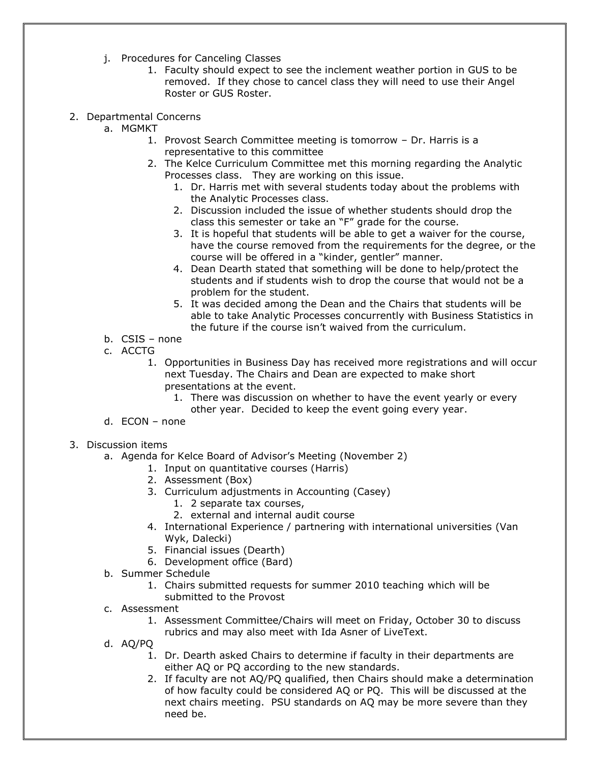- j. Procedures for Canceling Classes
	- 1. Faculty should expect to see the inclement weather portion in GUS to be removed. If they chose to cancel class they will need to use their Angel Roster or GUS Roster.
- 2. Departmental Concerns
	- a. MGMKT
		- 1. Provost Search Committee meeting is tomorrow Dr. Harris is a representative to this committee
		- 2. The Kelce Curriculum Committee met this morning regarding the Analytic Processes class. They are working on this issue.
			- 1. Dr. Harris met with several students today about the problems with the Analytic Processes class.
			- 2. Discussion included the issue of whether students should drop the class this semester or take an "F" grade for the course.
			- 3. It is hopeful that students will be able to get a waiver for the course, have the course removed from the requirements for the degree, or the course will be offered in a "kinder, gentler" manner.
			- 4. Dean Dearth stated that something will be done to help/protect the students and if students wish to drop the course that would not be a problem for the student.
			- 5. It was decided among the Dean and the Chairs that students will be able to take Analytic Processes concurrently with Business Statistics in the future if the course isn't waived from the curriculum.
	- b. CSIS none
	- c. ACCTG
		- 1. Opportunities in Business Day has received more registrations and will occur next Tuesday. The Chairs and Dean are expected to make short presentations at the event.
			- 1. There was discussion on whether to have the event yearly or every other year. Decided to keep the event going every year.
	- d. ECON none
- 3. Discussion items
	- a. Agenda for Kelce Board of Advisor's Meeting (November 2)
		- 1. Input on quantitative courses (Harris)
		- 2. Assessment (Box)
		- 3. Curriculum adjustments in Accounting (Casey)
			- 1. 2 separate tax courses,
				- 2. external and internal audit course
		- 4. International Experience / partnering with international universities (Van Wyk, Dalecki)
		- 5. Financial issues (Dearth)
		- 6. Development office (Bard)
	- b. Summer Schedule
		- 1. Chairs submitted requests for summer 2010 teaching which will be submitted to the Provost
	- c. Assessment
		- 1. Assessment Committee/Chairs will meet on Friday, October 30 to discuss rubrics and may also meet with Ida Asner of LiveText.
	- d. AQ/PQ
		- 1. Dr. Dearth asked Chairs to determine if faculty in their departments are either AQ or PQ according to the new standards.
		- 2. If faculty are not AQ/PQ qualified, then Chairs should make a determination of how faculty could be considered AQ or PQ. This will be discussed at the next chairs meeting. PSU standards on AQ may be more severe than they need be.